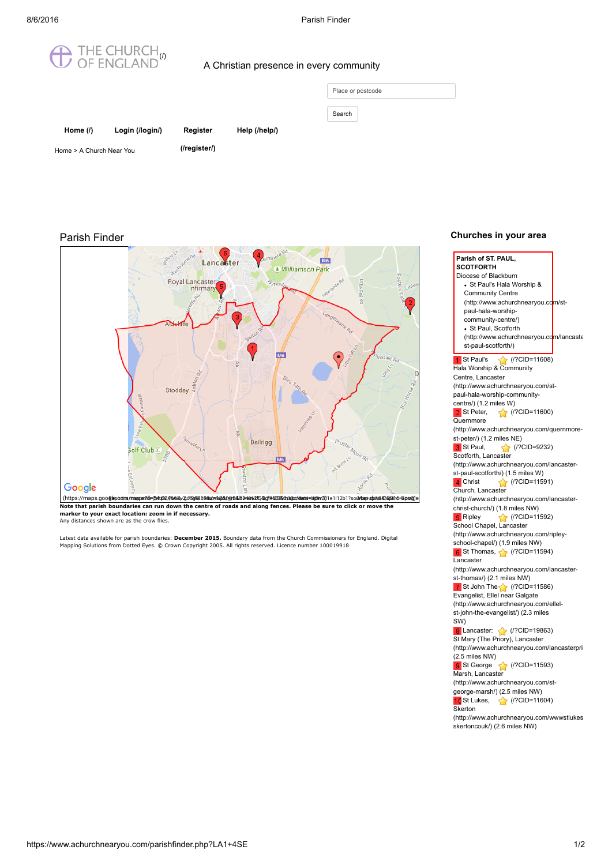

## A Christian presence in every community

| Place or postcode |  |  |
|-------------------|--|--|
| Search            |  |  |

| Home $($ )               | Login (/login/) |  |
|--------------------------|-----------------|--|
| Home > A Church Near You |                 |  |

Help [\(/help/\)](https://www.achurchnearyou.com/help/)

Register [\(/register/\)](https://www.achurchnearyou.com/register/)

## Parish Finder



Note that parish boundaries can run down the centre of roads and along fences. Please be sure to click or move the marker to your exact location: zoom in if necessary. Any distances shown are as the crow flies.

Latest data available for parish boundaries: **December 2015.** Boundary data from the Church Commissioners for England. Digital<br>Mapping Solutions from Dotted Eyes. © Crown Copyright 2005. All rights reserved. Licence number

## Churches in your area